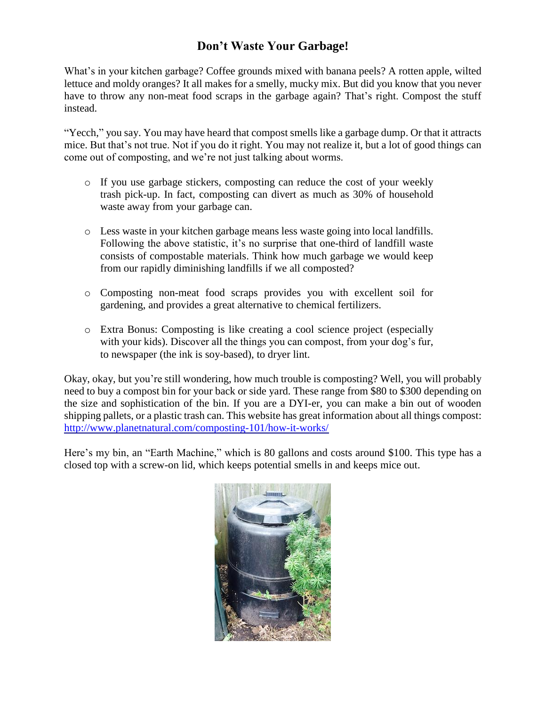## **Don't Waste Your Garbage!**

What's in your kitchen garbage? Coffee grounds mixed with banana peels? A rotten apple, wilted lettuce and moldy oranges? It all makes for a smelly, mucky mix. But did you know that you never have to throw any non-meat food scraps in the garbage again? That's right. Compost the stuff instead.

"Yecch," you say. You may have heard that compost smells like a garbage dump. Or that it attracts mice. But that's not true. Not if you do it right. You may not realize it, but a lot of good things can come out of composting, and we're not just talking about worms.

- $\circ$  If you use garbage stickers, composting can reduce the cost of your weekly trash pick-up. In fact, composting can divert as much as 30% of household waste away from your garbage can.
- o Less waste in your kitchen garbage means less waste going into local landfills. Following the above statistic, it's no surprise that one-third of landfill waste consists of compostable materials. Think how much garbage we would keep from our rapidly diminishing landfills if we all composted?
- o Composting non-meat food scraps provides you with excellent soil for gardening, and provides a great alternative to chemical fertilizers.
- o Extra Bonus: Composting is like creating a cool science project (especially with your kids). Discover all the things you can compost, from your dog's fur, to newspaper (the ink is soy-based), to dryer lint.

Okay, okay, but you're still wondering, how much trouble is composting? Well, you will probably need to buy a compost bin for your back or side yard. These range from \$80 to \$300 depending on the size and sophistication of the bin. If you are a DYI-er, you can make a bin out of wooden shipping pallets, or a plastic trash can. This website has great information about all things compost: <http://www.planetnatural.com/composting-101/how-it-works/>

Here's my bin, an "Earth Machine," which is 80 gallons and costs around \$100. This type has a closed top with a screw-on lid, which keeps potential smells in and keeps mice out.

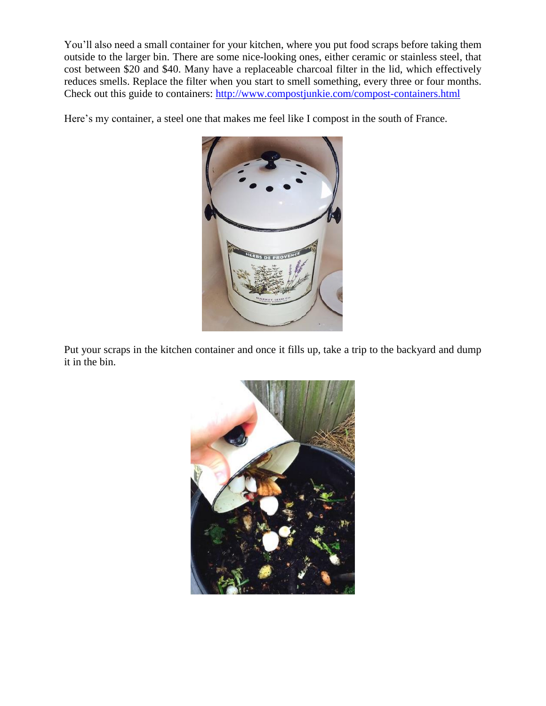You'll also need a small container for your kitchen, where you put food scraps before taking them outside to the larger bin. There are some nice-looking ones, either ceramic or stainless steel, that cost between \$20 and \$40. Many have a replaceable charcoal filter in the lid, which effectively reduces smells. Replace the filter when you start to smell something, every three or four months. Check out this guide to containers: <http://www.compostjunkie.com/compost-containers.html>

Here's my container, a steel one that makes me feel like I compost in the south of France.



Put your scraps in the kitchen container and once it fills up, take a trip to the backyard and dump it in the bin.